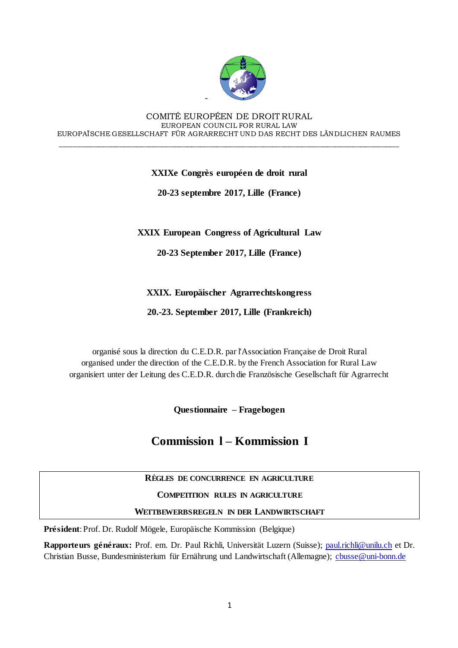

#### COMITÉ EUROPÉEN DE DROIT RURAL EUROPEAN COUNCIL FOR RURAL LAW EUROPAÏSCHE GESELLSCHAFT FÜR AGRARRECHT UND DAS RECHT DES LÄNDLICHEN RAUMES

\_\_\_\_\_\_\_\_\_\_\_\_\_\_\_\_\_\_\_\_\_\_\_\_\_\_\_\_\_\_\_\_\_\_\_\_\_\_\_\_\_\_\_\_\_\_\_\_\_\_\_\_\_\_\_\_\_\_\_\_\_\_\_\_\_\_\_\_\_\_\_\_\_\_\_\_\_\_\_\_

-

### **XXIXe Congrès européen de droit rural**

**20-23 septembre 2017, Lille (France)**

**XXIX European Congress of Agricultural Law**

**20-23 September 2017, Lille (France)**

**XXIX. Europäischer Agrarrechtskongress** 

**20.-23. September 2017, Lille (Frankreich)**

organisé sous la direction du C.E.D.R. par l'Association Française de Droit Rural organised under the direction of the C.E.D.R. by the French Association for Rural Law organisiert unter der Leitung des C.E.D.R. durch die Französische Gesellschaft für Agrarrecht

**Questionnaire – Fragebogen**

# **Commission l – Kommission I**

### **RÈGLES DE CONCURRENCE EN AGRICULTURE**

### **COMPETITION RULES IN AGRICULTURE**

### **WETTBEWERBSREGELN IN DER LANDWIRTSCHAFT**

**Président**: Prof. Dr. Rudolf Mögele, Europäische Kommission (Belgique)

**Rapporteurs généraux:** Prof. em. Dr. Paul Richli, Universität Luzern (Suisse[\); paul.richli@unilu.ch](mailto:paul.richli@unilu.ch) et Dr. Christian Busse, Bundesministerium für Ernährung und Landwirtschaft (Allemagne); [cbusse@uni-bonn.de](mailto:cbusse@uni-bonn.de)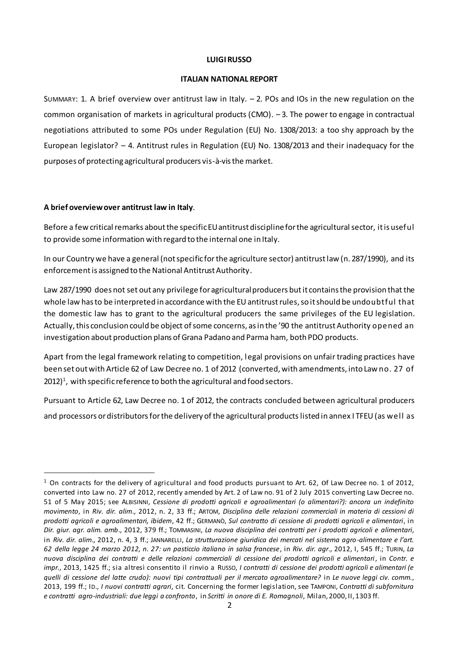#### **LUIGI RUSSO**

#### **ITALIAN NATIONAL REPORT**

SUMMARY: 1. A brief overview over antitrust law in Italy.  $-2$ . POs and IOs in the new regulation on the common organisation of markets in agricultural products (CMO). – 3. The power to engage in contractual negotiations attributed to some POs under Regulation (EU) No. 1308/2013: a too shy approach by the European legislator? – 4. Antitrust rules in Regulation (EU) No. 1308/2013 and their inadequacy for the purposes of protecting agricultural producers vis-à-vis the market.

#### **A brief overview over antitrust law in Italy**.

 $\overline{a}$ 

Before a few critical remarks about the specific EU antitrust discipline for the agricultural sector, it is useful to provide some information with regard to the internal one in Italy.

In our Country we have a general (not specific for the agriculture sector) antitrustlaw (n. 287/1990), and its enforcement is assigned to the National Antitrust Authority.

Law 287/1990 does not set out any privilege for agricultural producers but it contains the provision that the whole law has to be interpreted in accordance with the EU antitrust rules, so it should be undoubtful that the domestic law has to grant to the agricultural producers the same privileges of the EU legislation. Actually, this conclusion could be object of some concerns, as in the '90 the antitrust Authority opened an investigation about production plans of Grana Padano and Parma ham, both PDO products.

Apart from the legal framework relating to competition, legal provisions on unfair trading practices have been set out with Article 62 of Law Decree no. 1 of 2012 (converted, with amendments, into Law no. 27 of 2012) $^{\rm 1}$ , with specific reference to both the agricultural and food sectors.

Pursuant to Article 62, Law Decree no. 1 of 2012, the contracts concluded between agricultural producers and processors or distributors for the delivery of the agricultural products listed in annex I TFEU (as well as

 $1$  On contracts for the delivery of agricultural and food products pursuant to Art. 62, Of Law Decree no. 1 of 2012, converted into Law no. 27 of 2012, recently amended by Art. 2 of Law no. 91 of 2 July 2015 converting Law Decree no. 51 of 5 May 2015; see ALBISINNI, *Cessione di prodotti agricoli e agroalimentari (o alimentari?): ancora un indefinito movimento*, in *Riv. dir. alim*., 2012, n. 2, 33 ff.; ARTOM, *Disciplina delle relazioni commerciali in materia di cessioni di prodotti agricoli e agroalimentari, ibidem*, 42 ff.; GERMANÒ, *Sul contratto di cessione di prodotti agricoli e alimentari*, in *Dir. giur. agr. alim. amb*., 2012, 379 ff.; TOMMASINI, *La nuova disciplina dei contratti per i prodotti agricoli e alimentari*, in *Riv. dir. alim*., 2012, n. 4, 3 ff.; JANNARELLI, *La strutturazione giuridica dei mercati nel sistema agro-alimentare e l'art. 62 della legge 24 marzo 2012, n. 27: un pasticcio italiano in salsa francese*, in *Riv. dir. agr*., 2012, I, 545 ff.; TURIN, *La nuova disciplina dei contratti e delle relazioni commerciali di cessione dei prodotti agricoli e alimentari*, in *Contr. e impr.*, 2013, 1425 ff.; sia altresì consentito il rinvio a RUSSO, *I contratti di cessione dei prodotti agricoli e alimentari (e quelli di cessione del latte crudo): nuovi tipi contrattuali per il mercato agroalimentare?* in *Le nuove leggi civ. comm.*, 2013, 199 ff.; ID., *I nuovi contratti agrari*, cit. Concerning the former legislation, see TAMPONI, *Contratti di subfornitura e contratti agro-industriali: due leggi a confronto*, in *Scritti in onore di E. Romagnoli*, Milan, 2000, II, 1303 ff.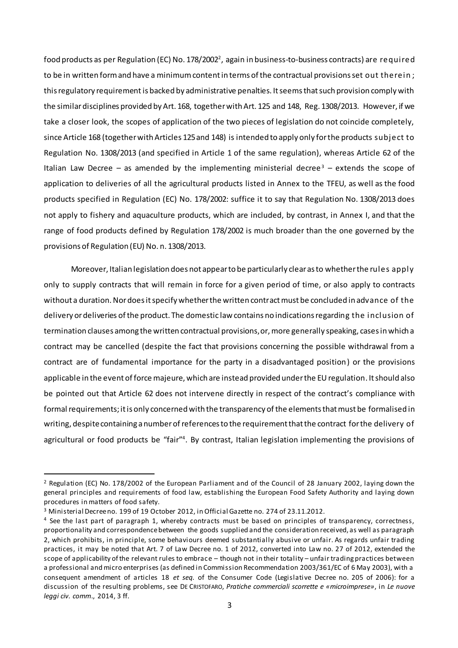food products as per Regulation (EC) No. 178/2002 $^2$ , again in business-to-business contracts) are <code>required</code> to be in written form and have a minimum content in terms of the contractual provisions set out therein; this regulatory requirement is backed by administrative penalties. It seems that such provision comply with the similar disciplines provided by Art. 168, together with Art. 125 and 148, Reg. 1308/2013. However, if we take a closer look, the scopes of application of the two pieces of legislation do not coincide completely, since Article 168 (together with Articles 125 and 148) is intended to apply only for the products subject to Regulation No. 1308/2013 (and specified in Article 1 of the same regulation), whereas Article 62 of the Italian Law Decree – as amended by the implementing ministerial decree<sup>3</sup> – extends the scope of application to deliveries of all the agricultural products listed in Annex to the TFEU, as well as the food products specified in Regulation (EC) No. 178/2002: suffice it to say that Regulation No. 1308/2013 does not apply to fishery and aquaculture products, which are included, by contrast, in Annex I, and that the range of food products defined by Regulation 178/2002 is much broader than the one governed by the provisions of Regulation (EU) No. n. 1308/2013.

Moreover, Italian legislation does not appear to be particularly clear as to whether the rules apply only to supply contracts that will remain in force for a given period of time, or also apply to contracts without a duration. Nor does it specify whether the written contract must be concluded in advance of the delivery or deliveries of the product. The domestic law contains no indications regarding the inclusion of termination clauses among the written contractual provisions, or, more generally speaking, cases in which a contract may be cancelled (despite the fact that provisions concerning the possible withdrawal from a contract are of fundamental importance for the party in a disadvantaged position) or the provisions applicable in the event of force majeure, which are instead provided under the EU regulation. It should also be pointed out that Article 62 does not intervene directly in respect of the contract's compliance with formal requirements; it is only concerned with the transparency of the elements that must be formalised in writing, despite containing a number of references to the requirement that the contract for the delivery of agricultural or food products be "fair"<sup>4</sup>. By contrast, Italian legislation implementing the provisions of

<sup>2</sup> Regulation (EC) No. 178/2002 of the European Parliament and of the Council of 28 January 2002, laying down the general principles and requirements of food law, establishing the European Food Safety Authority and laying down procedures in matters of food safety.

<sup>3</sup> Ministerial Decree no. 199 of 19 October 2012, in Official Gazette no. 274 of 23.11.2012.

<sup>4</sup> See the last part of paragraph 1, whereby contracts must be based on principles of transparency, correctness, proportionality and correspondence between the goods supplied and the consideration received, as well as paragraph 2, which prohibits, in principle, some behaviours deemed substantially abusive or unfair. As regards unfair trading practices, it may be noted that Art. 7 of Law Decree no. 1 of 2012, converted into Law no. 27 of 2012, extended the scope of applicability of the relevant rules to embrace – though not in their totality – unfair trading practices between a professional and micro enterprises (as defined in Commission Recommendation 2003/361/EC of 6 May 2003), with a consequent amendment of articles 18 *et seq.* of the Consumer Code (Legislative Decree no. 205 of 2006): for a discussion of the resulting problems, see DE CRISTOFARO, *Pratiche commerciali scorrette e «microimprese»*, in *Le nuove leggi civ. comm*., 2014, 3 ff.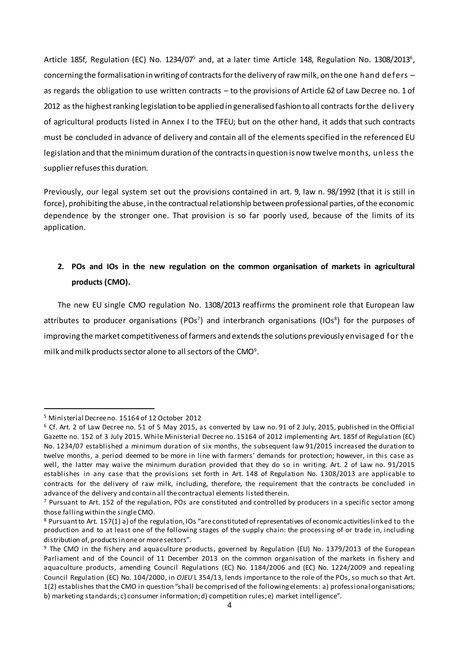Article 185f, Regulation (EC) No. 1234/07<sup>5</sup> and, at a later time Article 148, Regulation No. 1308/2013<sup>6</sup>, concerning the formalisation in writing of contracts for the delivery of raw milk, on the one hand defers – as regards the obligation to use written contracts – to the provisions of Article 62 of Law Decree no. 1 of 2012 as the highest ranking legislation to be applied in generalised fashion to all contracts for the delivery of agricultural products listed in Annex I to the TFEU; but on the other hand, it adds that such contracts must be concluded in advance of delivery and contain all of the elements specified in the referenced EU legislation and that the minimum duration of the contractsin question is now twelve months, unless the supplier refuses this duration.

Previously, our legal system set out the provisions contained in art. 9, law n. 98/1992 (that it is still in force), prohibiting the abuse, in the contractual relationship between professional parties, of the economic dependence by the stronger one. That provision is so far poorly used, because of the limits of its application.

## **2. POs and IOs in the new regulation on the common organisation of markets in agricultural products (CMO).**

The new EU single CMO regulation No. 1308/2013 reaffirms the prominent role that European law attributes to producer organisations (POs<sup>7</sup>) and interbranch organisations (IOs<sup>8</sup>) for the purposes of improving the market competitiveness of farmers and extends the solutions previously envisaged for the milk and milk products sector alone to all sectors of the CMO $^{\rm 9}$ .

<sup>5</sup> Ministerial Decree no. 15164 of 12 October 2012

 $6$  Cf. Art. 2 of Law Decree no. 51 of 5 May 2015, as converted by Law no. 91 of 2 July, 2015, published in the Official Gazette no. 152 of 3 July 2015. While Ministerial Decree no. 15164 of 2012 implementing Art. 185f of Regulation (EC) No. 1234/07 established a minimum duration of six months, the subsequent law 91/2015 increased the duration to twelve months, a period deemed to be more in line with farmers' demands for protection; however, in this case as well, the latter may waive the minimum duration provided that they do so in writing. Art. 2 of Law no. 91/2015 establishes in any case that the provisions set forth in Art. 148 of Regulation No. 1308/2013 are applicable to contracts for the delivery of raw milk, including, therefore, the requirement that the contracts be concluded in advance of the delivery and contain all the contractual elements listed therein.

 $7$  Pursuant to Art. 152 of the regulation, POs are constituted and controlled by producers in a specific sector among those falling within the single CMO.

<sup>8</sup> Pursuant to Art. 157(1) a) of the regulation, IOs "are constituted of representatives of economic activities linked to the production and to at least one of the following stages of the supply chain: the processing of or trade in, including distribution of, products inone or more sectors".

<sup>&</sup>lt;sup>9</sup> The CMO in the fishery and aquaculture products, governed by Regulation (EU) No. 1379/2013 of the European Parliament and of the Council of 11 December 2013 on the common organisation of the markets in fishery and aquaculture products, amending Council Regulations (EC) No. 1184/2006 and (EC) No. 1224/2009 and repealing Council Regulation (EC) No. 104/2000, in *OJEU* L 354/13, lends importance to the role of the POs, so much so that Art. 1(2) establishes that the CMO in question "shall be comprised of the following elements: a) professional organisations; b) marketing standards; c) consumer information; d) competition rules; e) market intelligence".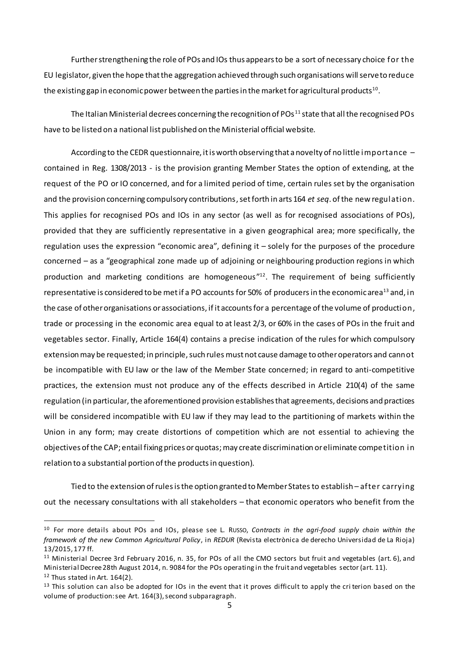Further strengthening the role of POs and IOs thus appears to be a sort of necessary choice for the EU legislator, given the hope that the aggregation achieved through such organisations will serve to reduce the existing gap in economic power between the parties in the market for agricultural products $^{\rm 10}.$ 

The Italian Ministerial decrees concerning the recognition of POs<sup>11</sup> state that all the recognised POs have to be listed on a national list published on the Ministerial official website.

According to the CEDR questionnaire, it is worth observing that a novelty of no little importance contained in Reg. 1308/2013 - is the provision granting Member States the option of extending, at the request of the PO or IO concerned, and for a limited period of time, certain rules set by the organisation and the provision concerning compulsory contributions, set forth in arts 164 *et seq*. of the new regulation. This applies for recognised POs and IOs in any sector (as well as for recognised associations of POs), provided that they are sufficiently representative in a given geographical area; more specifically, the regulation uses the expression "economic area", defining it – solely for the purposes of the procedure concerned – as a "geographical zone made up of adjoining or neighbouring production regions in which production and marketing conditions are homogeneous"<sup>12</sup>. The requirement of being sufficiently representative is considered to be met if a PO accounts for 50% of producers in the economic area<sup>13</sup> and, in the case of other organisations orassociations, if it accounts for a percentage of the volume of production, trade or processing in the economic area equal to at least 2/3, or 60% in the cases of POs in the fruit and vegetables sector. Finally, Article 164(4) contains a precise indication of the rules for which compulsory extension may be requested; in principle, such rules must not cause damage to other operators and cannot be incompatible with EU law or the law of the Member State concerned; in regard to anti-competitive practices, the extension must not produce any of the effects described in Article 210(4) of the same regulation (in particular, the aforementioned provision establishes that agreements, decisions and practices will be considered incompatible with EU law if they may lead to the partitioning of markets within the Union in any form; may create distortions of competition which are not essential to achieving the objectives of the CAP; entail fixing prices or quotas; may create discrimination oreliminate competition in relation to a substantial portion of the products in question).

Tied to the extension of rules is the option granted to Member States to establish – after carrying out the necessary consultations with all stakeholders – that economic operators who benefit from the

<sup>10</sup> For more details about POs and IOs, please see L. RUSSO, *Contracts in the agri-food supply chain within the framework of the new Common Agricultural Policy*, in *REDUR* (Revista electrònica de derecho Universidad de La Rioja) 13/2015, 177 ff.

<sup>11</sup> Ministerial Decree 3rd February 2016, n. 35, for POs of all the CMO sectors but fruit and vegetables (art. 6), and Ministerial Decree 28th August 2014, n. 9084 for the POs operating in the fruit and vegetables sector (art. 11).  $12$  Thus stated in Art. 164(2).

 $13$  This solution can also be adopted for IOs in the event that it proves difficult to apply the cri terion based on the volume of production: see Art. 164(3), second subparagraph.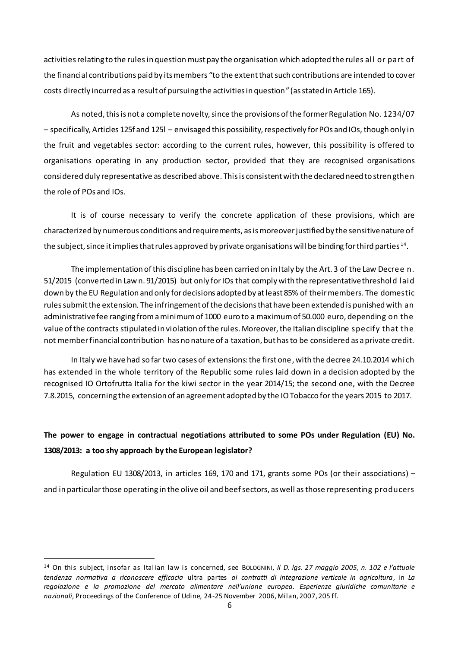activities relating to the rules in question must pay the organisation which adopted the rules all or part of the financial contributions paid by its members "to the extent that such contributions are intended to cover costs directly incurred as a result of pursuing the activities in question" (as stated in Article 165).

As noted, this is not a complete novelty, since the provisions of the former Regulation No. 1234/07 – specifically, Articles 125f and 125l – envisaged this possibility, respectively for POs and IOs, though only in the fruit and vegetables sector: according to the current rules, however, this possibility is offered to organisations operating in any production sector, provided that they are recognised organisations considered duly representative as described above. This is consistent with the declared need to strengthen the role of POs and IOs.

It is of course necessary to verify the concrete application of these provisions, which are characterized by numerous conditions and requirements, as is moreover justified by the sensitive nature of the subject, since it implies that rules approved by private organisations will be binding for third parties  $^{\rm 14}.$ 

The implementation of this discipline has been carried on in Italy by the Art. 3 of the Law Decree n. 51/2015 (converted in Law n. 91/2015) but only for IOs that comply with the representative threshold laid down by the EU Regulation and only for decisions adopted by at least 85% of their members. The domestic rules submit the extension. The infringement of the decisions that have been extended is punished with an administrative fee ranging from a minimum of 1000 euro to a maximum of 50.000 euro, depending on the value of the contracts stipulated in violation of the rules. Moreover, the Italian discipline specify that the not member financial contribution has no nature of a taxation, but has to be considered as a private credit.

In Italy we have had so far two cases of extensions: the first one, with the decree 24.10.2014 which has extended in the whole territory of the Republic some rules laid down in a decision adopted by the recognised IO Ortofrutta Italia for the kiwi sector in the year 2014/15; the second one, with the Decree 7.8.2015, concerning the extension of an agreement adopted by the IO Tobacco for the years 2015 to 2017.

## **The power to engage in contractual negotiations attributed to some POs under Regulation (EU) No. 1308/2013: a too shy approach by the European legislator?**

Regulation EU 1308/2013, in articles 169, 170 and 171, grants some POs (or their associations) – and in particular those operating in the olive oil and beef sectors, as well asthose representing producers

<sup>14</sup> On this subject, insofar as Italian law is concerned, see BOLOGNINI, *Il D. lgs. 27 maggio 2005, n. 102 e l'attuale tendenza normativa a riconoscere efficacia* ultra partes *ai contratti di integrazione verticale in agricoltura*, in *La regolazione e la promozione del mercato alimentare nell'unione europea. Esperienze giuridiche comunitarie e nazionali*, Proceedings of the Conference of Udine, 24-25 November 2006, Milan, 2007, 205 ff.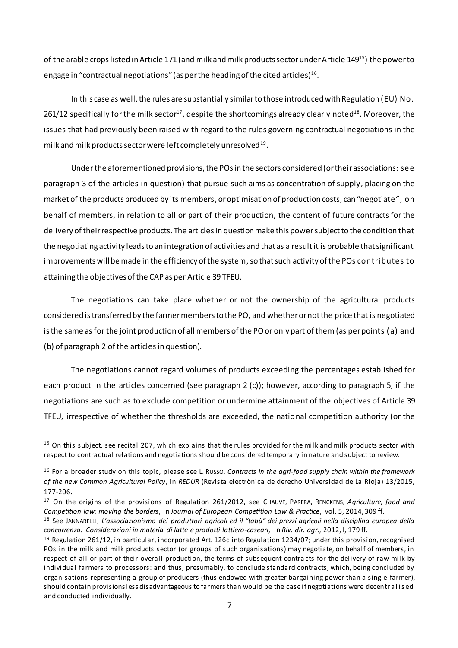of the arable crops listed in Article 171 (and milk and milk products sector under Article 149<sup>15</sup>) the power to engage in "contractual negotiations" (as per the heading of the cited articles) $^{\rm 16}$ .

In this case as well, the rules are substantially similar to those introduced with Regulation (EU) No. 261/12 specifically for the milk sector $^{17}$ , despite the shortcomings already clearly noted $^{18}$ . Moreover, the issues that had previously been raised with regard to the rules governing contractual negotiations in the milk and milk products sector were left completely unresolved  $^{19}$ .

Under the aforementioned provisions, the POs in the sectors considered (or their associations: see paragraph 3 of the articles in question) that pursue such aims as concentration of supply, placing on the market of the products produced by its members, or optimisation of production costs, can "negotiate", on behalf of members, in relation to all or part of their production, the content of future contracts for the delivery of their respective products. The articles in question make this power subject to the condition that the negotiating activity leads to an integration of activities and that as a result it is probable that significant improvements will be made in the efficiency of the system, so that such activity of the POs contributes to attaining the objectives of the CAP as per Article 39 TFEU.

The negotiations can take place whether or not the ownership of the agricultural products considered is transferred by the farmer members to the PO, and whether or not the price that is negotiated is the same as for the joint production of all members of the PO or only part of them (as perpoints (a) and (b) of paragraph 2 of the articlesin question).

The negotiations cannot regard volumes of products exceeding the percentages established for each product in the articles concerned (see paragraph 2 (c)); however, according to paragraph 5, if the negotiations are such as to exclude competition or undermine attainment of the objectives of Article 39 TFEU, irrespective of whether the thresholds are exceeded, the national competition authority (or the

 $15$  On this subject, see recital 207, which explains that the rules provided for the milk and milk products sector with respect to contractual relations and negotiations should be considered temporary in nature and subject to review.

<sup>16</sup> For a broader study on this topic, please see L. RUSSO, *Contracts in the agri-food supply chain within the framework of the new Common Agricultural Policy*, in *REDUR* (Revista electrònica de derecho Universidad de La Rioja) 13/2015, 177-206.

<sup>17</sup> On the origins of the provisions of Regulation 261/2012, see CHAUVE, PARERA, RENCKENS, *Agriculture, food and Competition law: moving the borders*, in *Journal of European Competition Law & Practice*, vol. 5, 2014, 309 ff.

<sup>18</sup> See JANNARELLI, *L'associazionismo dei produttori agricoli ed il "tabù" dei prezzi agricoli nella disciplina europea della concorrenza. Considerazioni in materia di latte e prodotti lattiero-caseari*, in *Riv. dir. agr*., 2012, I, 179 ff.

 $19$  Regulation 261/12, in particular, incorporated Art. 126c into Regulation 1234/07; under this provision, recognised POs in the milk and milk products sector (or groups of such organisations) may negotiate, on behalf of members, in respect of all or part of their overall production, the terms of subsequent contra cts for the delivery of raw milk by individual farmers to processors: and thus, presumably, to conclude standard contracts, which, being concluded by organisations representing a group of producers (thus endowed with greater bargaining power than a single farmer), should contain provisions less disadvantageous to farmers than would be the case if negotiations were decentra l i s ed and conducted individually.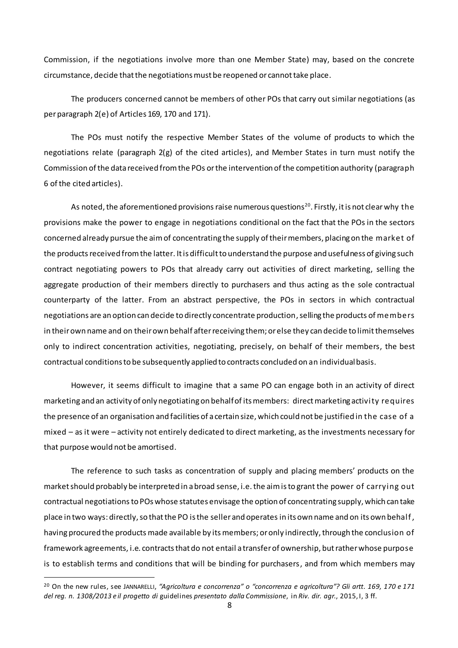Commission, if the negotiations involve more than one Member State) may, based on the concrete circumstance, decide that the negotiations must be reopened or cannot take place.

The producers concerned cannot be members of other POs that carry out similar negotiations (as per paragraph 2(e) of Articles 169, 170 and 171).

The POs must notify the respective Member States of the volume of products to which the negotiations relate (paragraph 2(g) of the cited articles), and Member States in turn must notify the Commission of the data received from the POs or the intervention of the competition authority (paragraph 6 of the cited articles).

As noted, the aforementioned provisions raise numerous questions $^{\text{20}}$ . Firstly, it is not clear why <code>the</code> provisions make the power to engage in negotiations conditional on the fact that the POs in the sectors concerned already pursue the aim of concentrating the supply of their members, placing on the market of the products received from the latter. It is difficult to understand the purpose and usefulness of giving such contract negotiating powers to POs that already carry out activities of direct marketing, selling the aggregate production of their members directly to purchasers and thus acting as the sole contractual counterparty of the latter. From an abstract perspective, the POs in sectors in which contractual negotiations are an option can decide to directly concentrate production, selling the products of members in their own name and on their own behalf after receiving them; or else they can decide to limit themselves only to indirect concentration activities, negotiating, precisely, on behalf of their members, the best contractual conditions to be subsequently applied to contracts concluded on an individual basis.

However, it seems difficult to imagine that a same PO can engage both in an activity of direct marketing and an activity of only negotiating on behalf of its members: direct marketing activity requires the presence of an organisation and facilities of a certain size, which could not be justified in the case of a mixed – as it were – activity not entirely dedicated to direct marketing, as the investments necessary for that purpose would not be amortised.

The reference to such tasks as concentration of supply and placing members' products on the marketshould probably be interpreted in a broad sense, i.e. the aim is to grant the power of carrying out contractual negotiationsto POs whose statutes envisage the option of concentrating supply, which can take place in two ways: directly, so that the PO is the seller and operates in its own name and on its own behalf, having procured the products made available by its members; or only indirectly, through the conclusion of framework agreements, i.e. contracts that do not entail a transfer of ownership, but rather whose purpose is to establish terms and conditions that will be binding for purchasers, and from which members may

<sup>20</sup> On the new rules, see JANNARELLI, *"Agricoltura e concorrenza" o "concorrenza e agricoltura"? Gli artt. 169, 170 e 171 del reg. n. 1308/2013 e il progetto di* guidelines *presentato dalla Commissione*, in *Riv. dir. agr.*, 2015, I, 3 ff.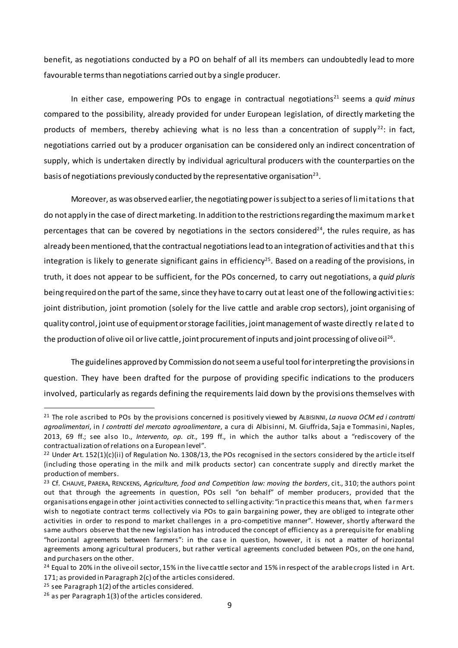benefit, as negotiations conducted by a PO on behalf of all its members can undoubtedly lead to more favourable terms than negotiations carried out by a single producer.

In either case, empowering POs to engage in contractual negotiations<sup>21</sup> seems a *quid minus* compared to the possibility, already provided for under European legislation, of directly marketing the products of members, thereby achieving what is no less than a concentration of supply<sup>22</sup>: in fact, negotiations carried out by a producer organisation can be considered only an indirect concentration of supply, which is undertaken directly by individual agricultural producers with the counterparties on the basis of negotiations previously conducted by the representative organisation $^{\mathsf{23}}$ .

Moreover, as was observed earlier, the negotiating power is subject to a series of limitations that do not apply in the case of direct marketing. In addition to the restrictions regarding the maximum market percentages that can be covered by negotiations in the sectors considered<sup>24</sup>, the rules require, as has already been mentioned, that the contractual negotiations lead to an integration of activities and that this integration is likely to generate significant gains in efficiency<sup>25</sup>. Based on a reading of the provisions, in truth, it does not appear to be sufficient, for the POs concerned, to carry out negotiations, a *quid pluris* being required on the part of the same, since they have to carry out at least one of the following activities: joint distribution, joint promotion (solely for the live cattle and arable crop sectors), joint organising of quality control, joint use of equipment or storage facilities, joint management of waste directly related to the production of olive oil or live cattle, joint procurement of inputs and joint processing of olive oil $^{26}\cdot$ 

The guidelines approved by Commission do not seem a useful tool for interpreting the provisionsin question. They have been drafted for the purpose of providing specific indications to the producers involved, particularly as regards defining the requirements laid down by the provisions themselves with

<sup>21</sup> The role ascribed to POs by the provisions concerned is positively viewed by ALBISINNI, *La nuova OCM ed i contratti agroalimentari*, in *I contratti del mercato agroalimentare*, a cura di Albisinni, M. Giuffrida, Saja e Tommasini, Naples, 2013, 69 ff.; see also ID., *Intervento, op. cit*., 199 ff., in which the author talks about a "rediscovery of the contractualization of relations on a European level".

<sup>&</sup>lt;sup>22</sup> Under Art. 152(1)(c)(ii) of Regulation No. 1308/13, the POs recognised in the sectors considered by the article itself (including those operating in the milk and milk products sector) can concentrate supply and directly market the production of members.

<sup>23</sup> Cf. CHAUVE, PARERA, RENCKENS, *Agriculture, food and Competition law: moving the borders*, cit., 310; the authors point out that through the agreements in question, POs sell "on behalf" of member producers, provided that the organisations engage in other joint activities connected to selling activity: "in practice this means that, when fa rmers wish to negotiate contract terms collectively via POs to gain bargaining power, they are obliged to integrate other activities in order to respond to market challenges in a pro-competitive manner". However, shortly afterward the same authors observe that the new legislation has introduced the concept of efficiency as a prerequisite for enabling "horizontal agreements between farmers": in the case in question, however, it is not a matter of horizontal agreements among agricultural producers, but rather vertical agreements concluded between POs, on the one hand, and purchasers on the other.

<sup>&</sup>lt;sup>24</sup> Equal to 20% in the olive oil sector, 15% in the live cattle sector and 15% in respect of the arable crops listed in Art. 171; as provided in Paragraph 2(c) of the articles considered.

 $25$  see Paragraph 1(2) of the articles considered.

 $26$  as per Paragraph 1(3) of the articles considered.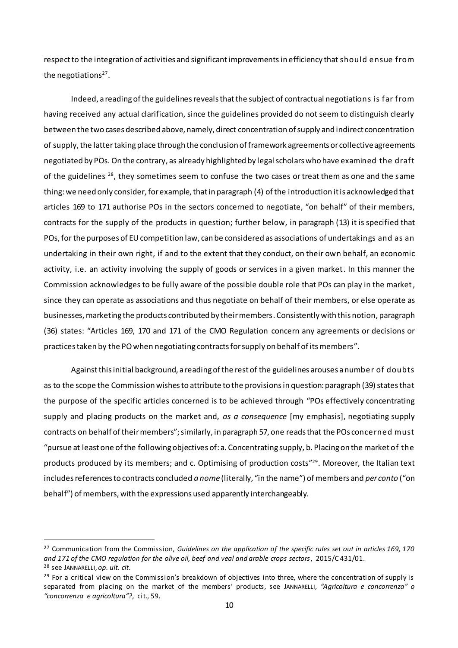respect to the integration of activities and significant improvementsin efficiency that should ensue from the negotiations<sup>27</sup>.

Indeed, a reading of the guidelines reveals that the subject of contractual negotiations is far from having received any actual clarification, since the guidelines provided do not seem to distinguish clearly between the two cases described above, namely, direct concentration of supply and indirect concentration of supply, the latter taking place through the conclusion of framework agreements or collective agreements negotiated by POs. On the contrary, as already highlighted by legal scholars who have examined the draft of the guidelines <sup>28</sup>, they sometimes seem to confuse the two cases or treat them as one and the same thing: we need only consider, for example, that in paragraph (4) of the introduction it is acknowledged that articles 169 to 171 authorise POs in the sectors concerned to negotiate, "on behalf" of their members, contracts for the supply of the products in question; further below, in paragraph (13) it is specified that POs, for the purposes of EU competition law, can be considered as associations of undertakings and as an undertaking in their own right, if and to the extent that they conduct, on their own behalf, an economic activity, i.e. an activity involving the supply of goods or services in a given market. In this manner the Commission acknowledges to be fully aware of the possible double role that POs can play in the market, since they can operate as associations and thus negotiate on behalf of their members, or else operate as businesses, marketing the products contributed by their members. Consistently with this notion, paragraph (36) states: "Articles 169, 170 and 171 of the CMO Regulation concern any agreements or decisions or practices taken by the PO when negotiating contracts for supply on behalf of its members".

Against this initial background, a reading of the rest of the guidelines arouses a number of doubts as to the scope the Commission wishes to attribute to the provisionsin question: paragraph (39) states that the purpose of the specific articles concerned is to be achieved through "POs effectively concentrating supply and placing products on the market and, *as a consequence* [my emphasis], negotiating supply contracts on behalf of their members"; similarly, in paragraph 57, one reads that the POs concerned must "pursue at least one of the following objectives of: a. Concentrating supply, b. Placing on the market of the products produced by its members; and c. Optimising of production costs<sup>"29</sup>. Moreover, the Italian text includes references to contracts concluded *a nome* (literally, "in the name") of members and *per conto* ("on behalf") of members, with the expressions used apparently interchangeably.

<sup>27</sup> Communication from the Commission, *Guidelines on the application of the specific rules set out in articles 169, 170 and 171 of the CMO regulation for the olive oil, beef and veal and arable crops sectors*, 2015/C 431/01. <sup>28</sup> see JANNARELLI, *op. ult. cit*.

 $29$  For a critical view on the Commission's breakdown of objectives into three, where the concentration of supply is separated from placing on the market of the members' products, see JANNARELLI, *"Agricoltura e concorrenza" o "concorrenza e agricoltura"?*, cit., 59.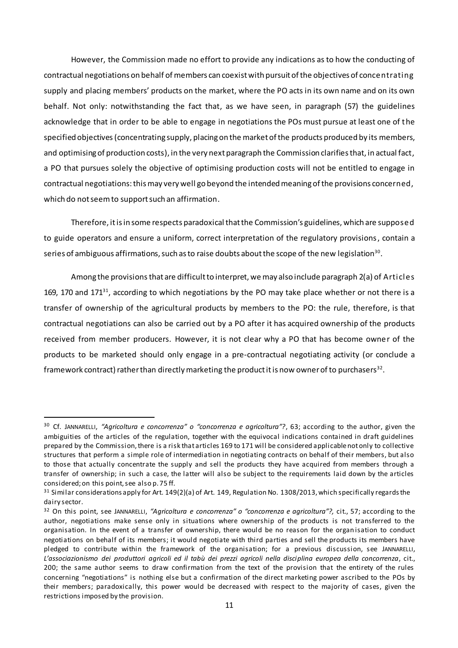However, the Commission made no effort to provide any indications as to how the conducting of contractual negotiations on behalf of members can coexist with pursuit of the objectives of concentrating supply and placing members' products on the market, where the PO acts in its own name and on its own behalf. Not only: notwithstanding the fact that, as we have seen, in paragraph (57) the guidelines acknowledge that in order to be able to engage in negotiations the POs must pursue at least one of the specified objectives (concentrating supply, placing on the market of the products produced by its members, and optimising of production costs), in the very next paragraph the Commission clarifies that, in actual fact, a PO that pursues solely the objective of optimising production costs will not be entitled to engage in contractual negotiations: this may very well go beyond the intended meaning of the provisions concerned, which do not seem to support such an affirmation.

Therefore, it is in some respects paradoxical that the Commission's guidelines, which are supposed to guide operators and ensure a uniform, correct interpretation of the regulatory provisions, contain a series of ambiguous affirmations, such as to raise doubts about the scope of the new legislation $^{\text{30}}$ .

Among the provisionsthat are difficult to interpret, we may also include paragraph 2(a) of Articles 169, 170 and 171<sup>31</sup>, according to which negotiations by the PO may take place whether or not there is a transfer of ownership of the agricultural products by members to the PO: the rule, therefore, is that contractual negotiations can also be carried out by a PO after it has acquired ownership of the products received from member producers. However, it is not clear why a PO that has become owner of the products to be marketed should only engage in a pre-contractual negotiating activity (or conclude a framework contract) rather than directly marketing the product it is now owner of to purchasers $^{\rm 32}.$ 

<sup>30</sup> Cf. JANNARELLI, *"Agricoltura e concorrenza" o "concorrenza e agricoltura"?*, 63; according to the author, given the ambiguities of the articles of the regulation, together with the equivocal indications contained in draft guidelines prepared by the Commission, there is a risk that articles 169 to 171 will be considered applicable not only to collective structures that perform a simple role of intermediation in negotiating contracts on behalf of their members, but also to those that actually concentrate the supply and sell the products they have acquired from members through a transfer of ownership; in such a case, the latter will also be subject to the requirements laid down by the articles considered; on this point, see also p. 75 ff.

 $31$  Similar considerations apply for Art. 149(2)(a) of Art. 149, Regulation No. 1308/2013, which specifically regards the dairy sector.

<sup>32</sup> On this point, see JANNARELLI, *"Agricoltura e concorrenza" o "concorrenza e agricoltura"?,* cit., 57; according to the author, negotiations make sense only in situations where ownership of the products is not transferred to the organisation. In the event of a transfer of ownership, there would be no reason for the organisation to conduct negotiations on behalf of its members; it would negotiate with third parties and sell the products its members have pledged to contribute within the framework of the organisation; for a previous discussion, see JANNARELLI, *L'associazionismo dei produttori agricoli ed il tabù dei prezzi agricoli nella disciplina europea della concorrenza*, cit., 200; the same author seems to draw confirmation from the text of the provision that the entirety of the rules concerning "negotiations" is nothing else but a confirmation of the direct marketing power ascribed to the POs by their members; paradoxically, this power would be decreased with respect to the majority of cases, given the restrictions imposed by the provision.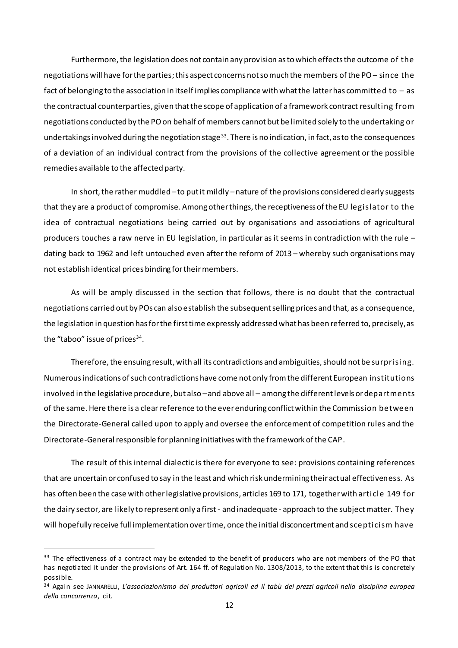Furthermore, the legislation does not contain any provision as to which effects the outcome of the negotiations will have for the parties; this aspect concerns not so much the members of the PO – since the fact of belonging to the association in itself implies compliance with what the latter has committed to – as the contractual counterparties, given that the scope of application of a framework contract resulting from negotiations conducted by the PO on behalf of members cannot but be limited solely to the undertaking or undertakings involved during the negotiation stage<sup>33</sup>. There is no indication, in fact, as to the consequences of a deviation of an individual contract from the provisions of the collective agreement or the possible remedies available to the affected party.

In short, the rather muddled –to put it mildly –nature of the provisions considered clearly suggests that they are a product of compromise. Among other things, the receptiveness of the EU legislator to the idea of contractual negotiations being carried out by organisations and associations of agricultural producers touches a raw nerve in EU legislation, in particular as it seems in contradiction with the rule – dating back to 1962 and left untouched even after the reform of 2013 – whereby such organisations may not establish identical prices binding for their members.

As will be amply discussed in the section that follows, there is no doubt that the contractual negotiations carried out by POs can also establish the subsequent selling prices and that, as a consequence, the legislation in question has for the first time expressly addressed what has been referred to, precisely, as the "taboo" issue of prices $^{34}$ .

Therefore, the ensuing result, with all its contradictions and ambiguities, should not be surprising. Numerous indications of such contradictions have come not only from the different European institutions involved in the legislative procedure, but also –and above all – among the different levels or departments of the same. Here there is a clear reference to the ever enduring conflict within the Commission between the Directorate-General called upon to apply and oversee the enforcement of competition rules and the Directorate-General responsible for planning initiatives with the framework of the CAP.

The result of this internal dialectic is there for everyone to see: provisions containing references that are uncertain or confused to say in the least and which risk undermining their actual effectiveness. As has often been the case with other legislative provisions, articles 169 to 171, together with article 149 for the dairy sector, are likely to represent only a first - and inadequate - approach to the subject matter. They will hopefully receive full implementation over time, once the initial disconcertment and scepticism have

<sup>&</sup>lt;sup>33</sup> The effectiveness of a contract may be extended to the benefit of producers who are not members of the PO that has negotiated it under the provisions of Art. 164 ff. of Regulation No. 1308/2013, to the extent that this is concretely possible.

<sup>34</sup> Again see JANNARELLI, *L'associazionismo dei produttori agricoli ed il tabù dei prezzi agricoli nella disciplina europea della concorrenza*, cit.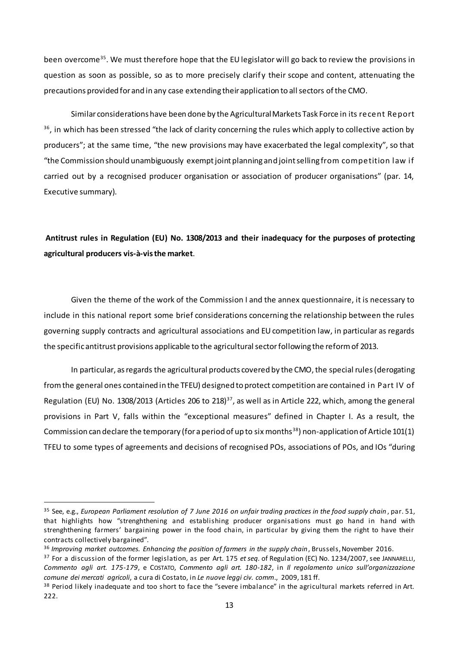been overcome<sup>35</sup>. We must therefore hope that the EU legislator will go back to review the provisions in question as soon as possible, so as to more precisely clarify their scope and content, attenuating the precautions provided for and in any case extending their application to all sectors of the CMO.

Similar considerations have been done by the Agricultural Markets Task Force in its recent Report  $36$ , in which has been stressed "the lack of clarity concerning the rules which apply to collective action by producers"; at the same time, "the new provisions may have exacerbated the legal complexity", so that "the Commission should unambiguously exempt joint planning and joint selling from competition law if carried out by a recognised producer organisation or association of producer organisations" (par. 14, Executive summary).

## **Antitrust rules in Regulation (EU) No. 1308/2013 and their inadequacy for the purposes of protecting agricultural producers vis-à-visthe market**.

Given the theme of the work of the Commission I and the annex questionnaire, it is necessary to include in this national report some brief considerations concerning the relationship between the rules governing supply contracts and agricultural associations and EU competition law, in particular as regards the specific antitrust provisions applicable to the agricultural sectorfollowing the reform of 2013.

In particular, as regards the agricultural products covered by the CMO, the special rules(derogating from the general ones contained in the TFEU) designed to protect competition are contained in Part IV of Regulation (EU) No. 1308/2013 (Articles 206 to 218)<sup>37</sup>, as well as in Article 222, which, among the general provisions in Part V, falls within the "exceptional measures" defined in Chapter I. As a result, the Commission can declare the temporary (for a period of up to six months<sup>38</sup>) non-application of Article 101(1) TFEU to some types of agreements and decisions of recognised POs, associations of POs, and IOs "during

<sup>&</sup>lt;sup>35</sup> See, e.g., *European Parliament resolution of 7 June 2016 on unfair trading practices in the food supply chain, par. 51,* that highlights how "strenghthening and establishing producer organisations must go hand in hand with strenghthening farmers' bargaining power in the food chain, in particular by giving them the right to have their contracts collectively bargained".

<sup>&</sup>lt;sup>36</sup> Improving market outcomes. Enhancing the position of farmers in the supply chain, Brussels, November 2016.

<sup>37</sup> For a discussion of the former legislation, as per Art. 175 *et seq.* of Regulation (EC) No. 1234/2007, see JANNARELLI, *Commento agli art. 175-179*, e COSTATO, *Commento agli art. 180-182*, in *Il regolamento unico sull'organizzazione comune dei mercati agricoli*, a cura di Costato, in *Le nuove leggi civ. comm*., 2009, 181 ff.

<sup>&</sup>lt;sup>38</sup> Period likely inadequate and too short to face the "severe imbalance" in the agricultural markets referred in Art. 222.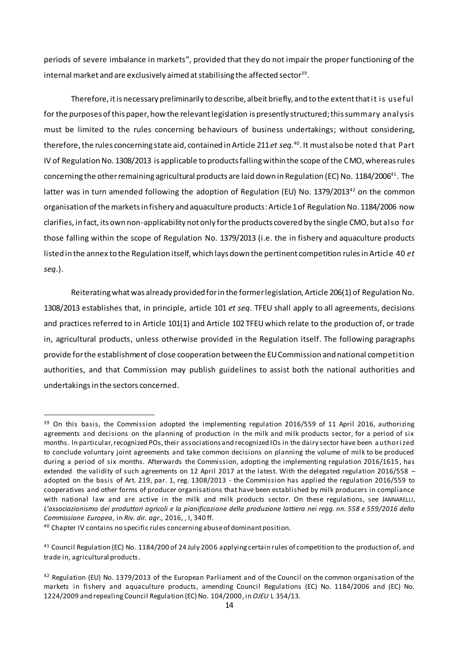periods of severe imbalance in markets", provided that they do not impair the proper functioning of the internal market and are exclusively aimed at stabilising the affected sector $^{\rm 39}.$ 

Therefore, it is necessary preliminarily to describe, albeit briefly, and to the extent that it is useful for the purposes of this paper, how the relevant legislation is presently structured; this summary analysis must be limited to the rules concerning behaviours of business undertakings; without considering, therefore, the rules concerning state aid, contained in Article 211 *et seq.*<sup>40</sup> . It must also be noted that Part IV of Regulation No. 1308/2013 is applicable to products falling within the scope of the CMO, whereas rules concerning the other remaining agricultural products are laid down in Regulation (EC) No.  $1184/2006^{41}$ . The latter was in turn amended following the adoption of Regulation (EU) No.  $1379/2013^{42}$  on the common organisation of the markets in fishery and aquaculture products: Article 1 of Regulation No. 1184/2006 now clarifies, in fact, its own non-applicability not only for the products covered by the single CMO, but also for those falling within the scope of Regulation No. 1379/2013 (i.e. the in fishery and aquaculture products listed in the annex to the Regulation itself, which lays down the pertinent competition rules in Article 40 *et seq*.).

Reiterating what was already provided for in the former legislation, Article 206(1) of Regulation No. 1308/2013 establishes that, in principle, article 101 *et seq*. TFEU shall apply to all agreements, decisions and practices referred to in Article 101(1) and Article 102 TFEU which relate to the production of, or trade in, agricultural products, unless otherwise provided in the Regulation itself. The following paragraphs provide for the establishment of close cooperation between the EU Commission and national competition authorities, and that Commission may publish guidelines to assist both the national authorities and undertakings in the sectors concerned.

<sup>&</sup>lt;sup>39</sup> On this basis, the Commission adopted the implementing regulation 2016/559 of 11 April 2016, authorizing agreements and decisions on the planning of production in the milk and milk products sector, for a period of six months. In particular, recognized POs, their associations and recognized IOs in the dairy sector have been a uthori zed to conclude voluntary joint agreements and take common decisions on planning the volume of milk to be produced during a period of six months. Afterwards the Commission, adopting the implementing regulation 2016/1615, has extended the validity of such agreements on 12 April 2017 at the latest. With the delegated regulation 2016/558 – adopted on the basis of Art. 219, par. 1, reg. 1308/2013 - the Commission has applied the regulation 2016/559 to cooperatives and other forms of producer organisations that have been established by milk producers in compliance with national law and are active in the milk and milk products sector. On these regulations, see JANNARELLI, *L'associazionismo dei produttori agricoli e la pianificazione della produzione lattiera nei regg. nn. 558 e 559/2016 della Commissione Europea*, in *Riv. dir. agr*., 2016, , I, 340 ff.

<sup>40</sup> Chapter IV contains no specific rules concerning abuse of dominant position.

<sup>41</sup> Council Regulation (EC) No. 1184/200 of 24 July 2006 applying certain rules of competition to the production of, and trade in, agricultural products.

<sup>42</sup> Regulation (EU) No. 1379/2013 of the European Parliament and of the Council on the common organisation of the markets in fishery and aquaculture products, amending Council Regulations (EC) No. 1184/2006 and (EC) No. 1224/2009 and repealing Council Regulation (EC) No. 104/2000, in *OJEU* L 354/13.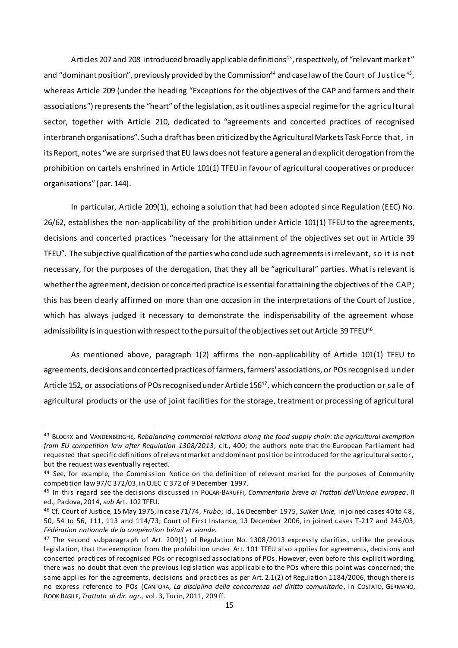Articles 207 and 208 introduced broadly applicable definitions<sup>43</sup>, respectively, of "relevant market" and "dominant position", previously provided by the Commission $^{44}$  and case law of the Court  $\,$ of Justi $\,$ ce $\,^{45}$ , whereas Article 209 (under the heading "Exceptions for the objectives of the CAP and farmers and their associations") represents the "heart" of the legislation, as it outlines a special regime for the agricultural sector, together with Article 210, dedicated to "agreements and concerted practices of recognised interbranch organisations". Such a draft has been criticized by the Agricultural Markets Task Force that, in its Report, notes "we are surprised that EU laws does not feature a general and explicit derogation from the prohibition on cartels enshrined in Article 101(1) TFEU in favour of agricultural cooperatives or producer organisations" (par. 144).

In particular, Article 209(1), echoing a solution that had been adopted since Regulation (EEC) No. 26/62, establishes the non-applicability of the prohibition under Article 101(1) TFEU to the agreements, decisions and concerted practices "necessary for the attainment of the objectives set out in Article 39 TFEU". The subjective qualification of the parties who conclude such agreementsis irrelevant, so it is not necessary, for the purposes of the derogation, that they all be "agricultural" parties. What is relevant is whether the agreement, decision or concerted practice is essential for attaining the objectives of the CAP; this has been clearly affirmed on more than one occasion in the interpretations of the Court of Justice , which has always judged it necessary to demonstrate the indispensability of the agreement whose admissibility is in question with respect to the pursuit of the objectives set out Article 39 TFEU $^{\rm 46}.$ 

As mentioned above, paragraph 1(2) affirms the non-applicability of Article 101(1) TFEU to agreements, decisions and concerted practices of farmers, farmers' associations, or POsrecognised under Article 152, or associations of POs recognised under Article 156<sup>47</sup>, which concern the production or sale of agricultural products or the use of joint facilities for the storage, treatment or processing of agricultural

<sup>43</sup> BLOCKX and VANDENBERGHE, *Rebalancing commercial relations along the food supply chain: the agricultural exemption from EU competition law after Regulation 1308/2013*, cit., 400; the authors note that the European Parliament had requested that specific definitions of relevant market and dominant position be introduced for the agricultural sector, but the request was eventually rejected.

<sup>44</sup> See, for example, the Commission Notice on the definition of relevant market for the purposes of Community competition law 97/C 372/03, in OJEC C 372 of 9 December 1997.

<sup>45</sup> In this regard see the decisions discussed in POCAR-BARUFFI, *Commentario breve ai Trattati dell'Unione europea*, II ed., Padova, 2014, *sub* Art. 102 TFEU.

<sup>46</sup> Cf. Court of Justice, 15 May 1975, in case 71/74, *Frubo*; Id., 16 December 1975, *Suiker Unie,* in joined cases 40 to 48, 50, 54 to 56, 111, 113 and 114/73; Court of First Instance, 13 December 2006, in joined cases T-217 and 245/03, *Fédération nationale de la coopération bétail et viande.*

<sup>&</sup>lt;sup>47</sup> The second subparagraph of Art. 209(1) of Regulation No. 1308/2013 expressly clarifies, unlike the previous legislation, that the exemption from the prohibition under Art. 101 TFEU also applies for agreements, decisions and concerted practices of recognised POs or recognised associations of POs. However, even before this explicit wording, there was no doubt that even the previous legislation was applicable to the POs where this point was concerned; the same applies for the agreements, decisions and practices as per Art. 2.1(2) of Regulation 1184/2006, though there is no express reference to POs (CANFORA, *La disciplina della concorrenza nel diritto comunitario*, in COSTATO, GERMANÒ, ROOK BASILE, *Trattato di dir. agr*., vol. 3, Turin, 2011, 209 ff.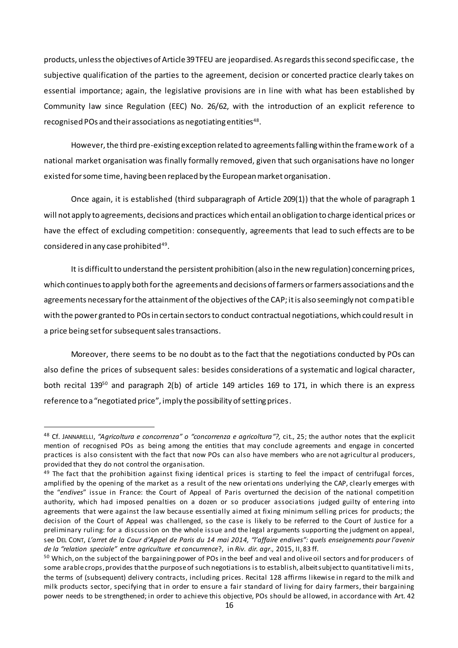products, unless the objectives of Article 39 TFEU are jeopardised. As regards this second specific case, the subjective qualification of the parties to the agreement, decision or concerted practice clearly takes on essential importance; again, the legislative provisions are in line with what has been established by Community law since Regulation (EEC) No. 26/62, with the introduction of an explicit reference to recognised POs and their associations as negotiating entities $^{\rm 48}.$ 

However, the third pre-existing exception related to agreements falling within the framework of a national market organisation was finally formally removed, given that such organisations have no longer existed for some time, having been replaced by the European market organisation.

Once again, it is established (third subparagraph of Article 209(1)) that the whole of paragraph 1 will not apply to agreements, decisions and practices which entail an obligation to charge identical prices or have the effect of excluding competition: consequently, agreements that lead to such effects are to be  $\,$  considered in any case prohibited $^{49}.$ 

It is difficult to understand the persistent prohibition (also in the new regulation) concerning prices, which continues to apply both for the agreements and decisions of farmers orfarmers associations and the agreements necessary for the attainment of the objectives of the CAP; it is also seemingly not compatible with the power granted to POs in certain sectors to conduct contractual negotiations, which could result in a price being set for subsequent sales transactions.

Moreover, there seems to be no doubt as to the fact that the negotiations conducted by POs can also define the prices of subsequent sales: besides considerations of a systematic and logical character, both recital 139<sup>50</sup> and paragraph 2(b) of article 149 articles 169 to 171, in which there is an express reference to a "negotiated price", imply the possibility of setting prices.

<sup>&</sup>lt;sup>48</sup> Cf. JANNARELLI, "Agricoltura e concorrenza" o "concorrenza e agricoltura"?, cit., 25; the author notes that the explicit mention of recognised POs as being among the entities that may conclude agreements and engage in concerted practices is also consistent with the fact that now POs can also have members who are not agricultur al producers, provided that they do not control the organisation.

 $49$  The fact that the prohibition against fixing identical prices is starting to feel the impact of centrifugal forces, amplified by the opening of the market as a result of the new orientati ons underlying the CAP, clearly emerges with the "*endives*" issue in France: the Court of Appeal of Paris overturned the decision of the national competition authority, which had imposed penalties on a dozen or so producer associations judged guilty of entering into agreements that were against the law because essentially aimed at fixing minimum selling prices for products; the decision of the Court of Appeal was challenged, so the case is likely to be referred to the Court of Justice for a preliminary ruling: for a discussion on the whole issue and the legal arguments supporting the judgment on appeal, see DEL CONT, *L'arret de la Cour d'Appel de Paris du 14 mai 2014, "l'affaire endives": quels enseignements pour l'avenir de la "relation speciale" entre agriculture et concurrence*?, in *Riv. dir. agr*., 2015, II, 83 ff.

<sup>&</sup>lt;sup>50</sup> Which, on the subject of the bargaining power of POs in the beef and veal and olive oil sectors and for producers of some arable crops, provides that the purpose of such negotiations is to establish, albeit subject to quantitative li mi ts , the terms of (subsequent) delivery contracts, including prices. Recital 128 affirms likewise in regard to the milk and milk products sector, specifying that in order to ensure a fair standard of living for dairy farmers, their bargaining power needs to be strengthened; in order to achieve this objective, POs should be allowed, in accordance with Art. 42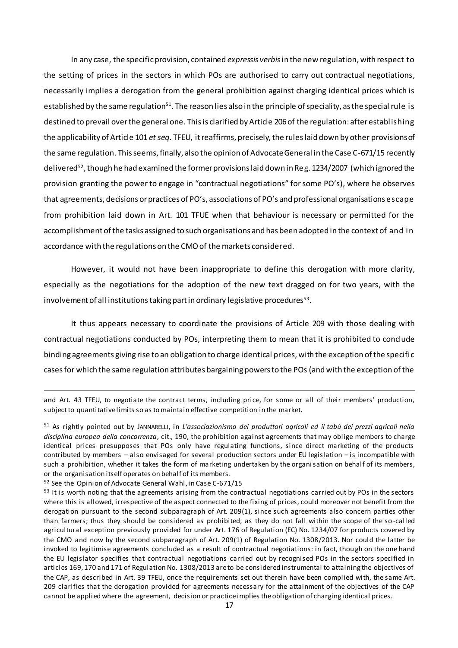In any case, the specific provision, contained *expressis verbis* in the new regulation, with respect to the setting of prices in the sectors in which POs are authorised to carry out contractual negotiations, necessarily implies a derogation from the general prohibition against charging identical prices which is established by the same regulation<sup>51</sup>. The reason lies also in the principle of speciality, as the special rule is destined to prevail over the general one. This is clarified by Article 206 of the regulation: after establishing the applicability of Article 101 *et seq.* TFEU, it reaffirms, precisely, the rules laid down by other provisionsof the same regulation. This seems, finally, also the opinion of Advocate General in the Case C-671/15 recently delivered<sup>52</sup>, though he had examined the former provisions laid down in Reg. 1234/2007 (which ignored the provision granting the power to engage in "contractual negotiations" for some PO's), where he observes that agreements, decisions or practices of PO's, associations of PO's and professional organisations escape from prohibition laid down in Art. 101 TFUE when that behaviour is necessary or permitted for the accomplishment of the tasks assigned to such organisations and has been adopted in the context of and in accordance with the regulations on the CMO of the markets considered.

However, it would not have been inappropriate to define this derogation with more clarity, especially as the negotiations for the adoption of the new text dragged on for two years, with the involvement of all institutions taking part in ordinary legislative procedures $^{\text{53}}$ .

It thus appears necessary to coordinate the provisions of Article 209 with those dealing with contractual negotiations conducted by POs, interpreting them to mean that it is prohibited to conclude binding agreements giving rise to an obligation to charge identical prices, with the exception of the specific cases for which the same regulation attributes bargaining powers to the POs (and with the exception of the

and Art. 43 TFEU, to negotiate the contract terms, including price, for some or all of their members' production, subject to quantitative limits so as to maintain effective competition in the market.

<sup>51</sup> As rightly pointed out by JANNARELLI, in *L'associazionismo dei produttori agricoli ed il tabù dei prezzi agricoli nella disciplina europea della concorrenza*, cit., 190, the prohibition against agreements that may oblige members to charge identical prices presupposes that POs only have regulating functions, since direct marketing of the products contributed by members – also envisaged for several production sectors under EU legislation – is incompatible with such a prohibition, whether it takes the form of marketing undertaken by the organisation on behalf of its members, or the organisation itself operates on behalf of its members*.*

<sup>52</sup> See the Opinion of Advocate General Wahl, in Case C-671/15

<sup>53</sup> It is worth noting that the agreements arising from the contractual negotiations carried out by POs in the sectors where this is allowed, irrespective of the aspect connected to the fixing of prices, could moreover not benefit from the derogation pursuant to the second subparagraph of Art. 209(1), since such agreements also concern parties other than farmers; thus they should be considered as prohibited, as they do not fall within the scope of the so -called agricultural exception previously provided for under Art. 176 of Regulation (EC) No. 1234/07 for products covered by the CMO and now by the second subparagraph of Art. 209(1) of Regulation No. 1308/2013. Nor could the latter be invoked to legitimise agreements concluded as a result of contractual negotiations: in fact, though on the one hand the EU legislator specifies that contractual negotiations carried out by recognised POs in the sectors specified in articles 169, 170 and 171 of Regulation No. 1308/2013 are to be considered instrumental to attaining the objectives of the CAP, as described in Art. 39 TFEU, once the requirements set out therein have been complied with, the same Art. 209 clarifies that the derogation provided for agreements necessary for the attainment of the objectives of the CAP cannot be applied where the agreement, decision or practice implies the obligation of charging identical prices.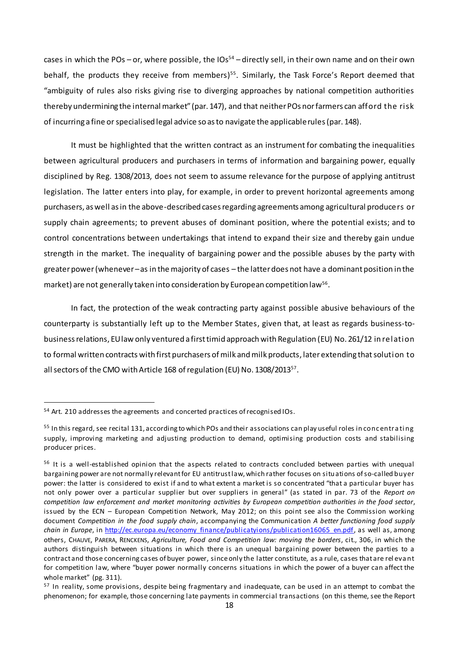cases in which the POs – or, where possible, the  $10s^{54}$  – directly sell, in their own name and on their own behalf, the products they receive from members)<sup>55</sup>. Similarly, the Task Force's Report deemed that "ambiguity of rules also risks giving rise to diverging approaches by national competition authorities thereby undermining the internal market" (par. 147), and that neither POs nor farmers can afford the risk of incurring a fine or specialised legal advice so as to navigate the applicable rules (par. 148).

It must be highlighted that the written contract as an instrument for combating the inequalities between agricultural producers and purchasers in terms of information and bargaining power, equally disciplined by Reg. 1308/2013, does not seem to assume relevance for the purpose of applying antitrust legislation. The latter enters into play, for example, in order to prevent horizontal agreements among purchasers, as well as in the above-described cases regarding agreements among agricultural producers or supply chain agreements; to prevent abuses of dominant position, where the potential exists; and to control concentrations between undertakings that intend to expand their size and thereby gain undue strength in the market. The inequality of bargaining power and the possible abuses by the party with greaterpower(whenever –as in the majority of cases – the latter does not have a dominant position in the market) are not generally taken into consideration by European competition law $^{\mathsf{56}}$ .

In fact, the protection of the weak contracting party against possible abusive behaviours of the counterparty is substantially left up to the Member States, given that, at least as regards business-tobusiness relations, EU law only ventured a first timid approach with Regulation (EU) No. 261/12 in relation to formal written contracts with first purchasers of milk and milk products, later extending thatsolution to all sectors of the CMO with Article 168 of regulation (EU) No. 1308/2013<sup>57</sup>.

<sup>54</sup> Art. 210 addresses the agreements and concerted practices of recognised IOs.

<sup>55</sup> In this regard, see recital 131, according to which POs and their associations can play useful roles in concentrating supply, improving marketing and adjusting production to demand, optimising production costs and stabilising producer prices.

<sup>&</sup>lt;sup>56</sup> It is a well-established opinion that the aspects related to contracts concluded between parties with unequal bargaining power are not normally relevant for EU antitrust law, which rather focuses on situations of so-called buyer power: the latter is considered to exist if and to what extent a market is so concentrated "that a particular buyer has not only power over a particular supplier but over suppliers in general" (as stated in par. 73 of the *Report on competition law enforcement and market monitoring activities by European competition authorities in the food sector*, issued by the ECN – European Competition Network, May 2012; on this point see also the Commission working document *Competition in the food supply chain*, accompanying the Communication *A better functioning food supply chain in Europe*, in [http://ec.europa.eu/economy\\_finance/publicatyions/publication16065\\_en.pdf,](http://ec.europa.eu/economy_finance/publicatyions/publication16065_en.pdf) as well as, among others, CHAUVE, PARERA, RENCKENS, *Agriculture, Food and Competition law: moving the borders*, cit., 306, in which the authors distinguish between situations in which there is an unequal bargaining power between the parties to a contract and those concerning cases of buyer power, since only the latter constitute, as a rule, cases that are rel eva nt for competition law, where "buyer power normally concerns situations in which the power of a buyer can affect the whole market" (pg. 311).

<sup>&</sup>lt;sup>57</sup> In reality, some provisions, despite being fragmentary and inadequate, can be used in an attempt to combat the phenomenon; for example, those concerning late payments in commercial transactions (on this theme, see the Report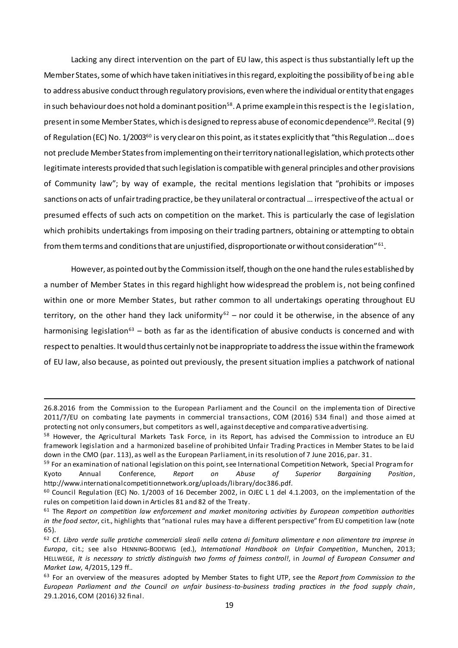Lacking any direct intervention on the part of EU law, this aspect is thus substantially left up the Member States, some of which have taken initiatives in this regard, exploiting the possibility of being able to address abusive conduct through regulatory provisions, even where the individual or entity that engages in such behaviour does not hold a dominant position<sup>58</sup>. A prime example in this respect is the legislation, present in some Member States, which is designed to repress abuse of economic dependence<sup>59</sup>. Recital (9) of Regulation (EC) No. 1/2003<sup>60</sup> is very clear on this point, as it states explicitly that "this Regulation ... does not preclude Member States from implementing on their territory national legislation, which protects other legitimate interests provided that such legislation is compatible with general principles and other provisions of Community law"; by way of example, the recital mentions legislation that "prohibits or imposes sanctions on acts of unfair trading practice, be they unilateral or contractual … irrespective of the actual or presumed effects of such acts on competition on the market. This is particularly the case of legislation which prohibits undertakings from imposing on their trading partners, obtaining or attempting to obtain from them terms and conditions that are unjustified, disproportionate or without consideration"  $\rm ^{61}.$ 

However, as pointed out by the Commission itself, though on the one hand the rules established by a number of Member States in this regard highlight how widespread the problem is, not being confined within one or more Member States, but rather common to all undertakings operating throughout EU territory, on the other hand they lack uniformity<sup>62</sup> – nor could it be otherwise, in the absence of any harmonising legislation<sup>63</sup> – both as far as the identification of abusive conducts is concerned and with respect to penalties. It would thus certainly not be inappropriate to address the issue within the framework of EU law, also because, as pointed out previously, the present situation implies a patchwork of national

<sup>26.8.2016</sup> from the Commission to the European Parliament and the Council on the implementa tion of Directive 2011/7/EU on combating late payments in commercial transactions, COM (2016) 534 final) and those aimed at protecting not only consumers, but competitors as well, against deceptive and comparative advertising.

<sup>&</sup>lt;sup>58</sup> However, the Agricultural Markets Task Force, in its Report, has advised the Commission to introduce an EU framework legislation and a harmonized baseline of prohibited Unfair Trading Practices in Member States to be laid down in the CMO (par. 113), as well as the European Parliament, in its resolution of 7 June 2016, par. 31.

<sup>59</sup> For an examination of national legislation on this point, see International Competition Network, Special Program for Kyoto Annual Conference, *Report on Abuse of Superior Bargaining Position*, http://www.internationalcompetitionnetwork.org/uploads/library/doc386.pdf.

<sup>60</sup> Council Regulation (EC) No. 1/2003 of 16 December 2002, in OJEC L 1 del 4.1.2003, on the implementation of the rules on competition laid down in Articles 81 and 82 of the Treaty.

<sup>61</sup> The *Report on competition law enforcement and market monitoring activities by European competition authorities in the food sector*, cit., highlights that "national rules may have a different perspective" from EU competition law (note 65).

<sup>62</sup> Cf. *Libro verde sulle pratiche commerciali sleali nella catena di fornitura alimentare e non alimentare tra imprese in Europa*, cit.; see also HENNING-BODEWIG (ed.), *International Handbook on Unfair Competition*, Munchen, 2013; HELLWEGE, *It is necessary to strictly distinguish two forms of fairness control!*, in *Journal of European Consumer and Market Law*, 4/2015, 129 ff..

<sup>63</sup> For an overview of the measures adopted by Member States to fight UTP, see the *Report from Commission to the European Parliament and the Council on unfair business-to-business trading practices in the food supply chain*, 29.1.2016, COM (2016) 32 final.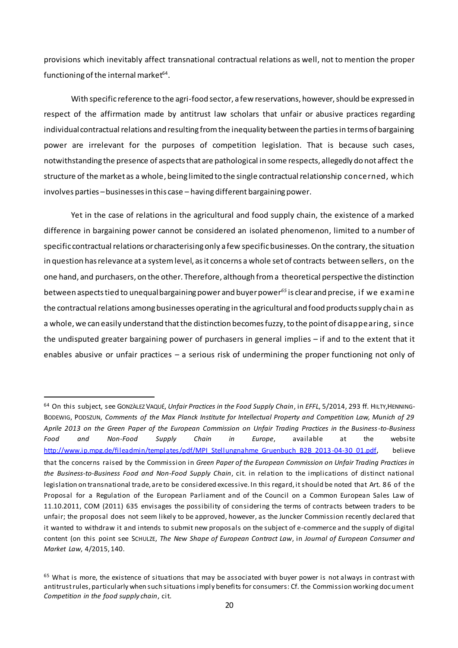provisions which inevitably affect transnational contractual relations as well, not to mention the proper functioning of the internal market $^{\rm 64}.$ 

With specific reference to the agri-food sector, a few reservations, however, should be expressed in respect of the affirmation made by antitrust law scholars that unfair or abusive practices regarding individual contractual relations and resulting from the inequality between the parties in terms of bargaining power are irrelevant for the purposes of competition legislation. That is because such cases, notwithstanding the presence of aspects that are pathological in some respects, allegedly do not affect the structure of the market as a whole, being limited to the single contractual relationship concerned, which involves parties –businesses in this case – having different bargaining power.

Yet in the case of relations in the agricultural and food supply chain, the existence of a marked difference in bargaining power cannot be considered an isolated phenomenon, limited to a number of specific contractual relations or characterising only a few specificbusinesses. On the contrary, the situation in question has relevance at a system level, as it concerns a whole set of contracts between sellers, on the one hand, and purchasers, on the other. Therefore, although from a theoretical perspective the distinction between aspects tied to unequal bargaining power and buyer power*<sup>65</sup>* is clear and precise, if we examine the contractual relations among businesses operating in the agricultural and food products supply chain as a whole, we can easily understand that the distinction becomes fuzzy, to the point of disappearing, since the undisputed greater bargaining power of purchasers in general implies – if and to the extent that it enables abusive or unfair practices – a serious risk of undermining the proper functioning not only of

<sup>64</sup> On this subject, see GONZÀLEZ VAQUÉ, *Unfair Practices in the Food Supply Chain*, in *EFFL*, 5/2014, 293 ff. HILTY,HENNING-BODEWIG, PODSZUN, *Comments of the Max Planck Institute for Intellectual Property and Competition Law, Munich of 29 Aprile 2013 on the Green Paper of the European Commission on Unfair Trading Practices in the Business-to-Business Food and Non-Food Supply Chain in Europe*, available at the website [http://www.ip.mpg.de/fileadmin/templates/pdf/MPI\\_Stellungnahme\\_Gruenbuch\\_B2B\\_2013-04-30\\_01.pdf](http://www.ip.mpg.de/fileadmin/templates/pdf/MPI_Stellungnahme_Gruenbuch_B2B_2013-04-30_01.pdf), believe that the concerns raised by the Commission in *Green Paper of the European Commission on Unfair Trading Practices in the Business-to-Business Food and Non-Food Supply Chain*, cit. in relation to the implications of distinct national legislation on transnational trade, are to be considered excessive. In this regard, it should be noted that Art. 86 of the Proposal for a Regulation of the European Parliament and of the Council on a Common European Sales Law of 11.10.2011, COM (2011) 635 envisages the possibility of considering the terms of contracts between traders to be unfair; the proposal does not seem likely to be approved, however, as the Juncker Commission recently declared that it wanted to withdraw it and intends to submit new proposals on the subject of e-commerce and the supply of digital content (on this point see SCHULZE, *The New Shape of European Contract Law*, in *Journal of European Consumer and Market Law*, 4/2015, 140.

<sup>&</sup>lt;sup>65</sup> What is more, the existence of situations that may be associated with buyer power is not always in contrast with antitrust rules, particularly when such situations imply benefits for consumers: Cf. the Commission working doc ument *Competition in the food supply chain*, cit.